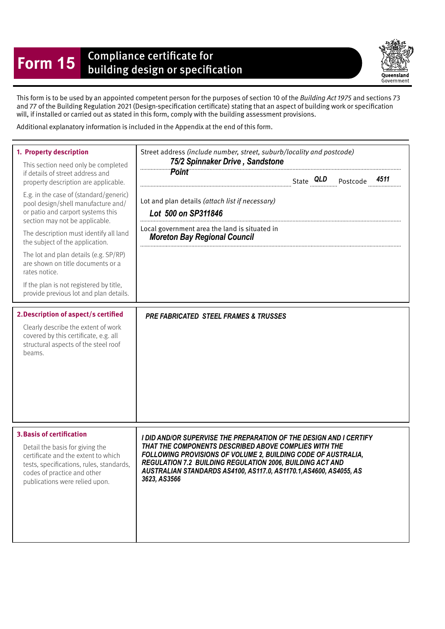## **Form 15** Compliance certificate for<br>building design or specification

Queensland Government

This form is to be used by an appointed competent person for the purposes of section 10 of the Building Act 1975 and sections 73 and 77 of the Building Regulation 2021 (Design-specifcation certifcate) stating that an aspect of building work or specifcation will, if installed or carried out as stated in this form, comply with the building assessment provisions.

Additional explanatory information is included in the Appendix at the end of this form.

| 1. Property description<br>This section need only be completed<br>if details of street address and<br>property description are applicable.<br>E.g. in the case of (standard/generic)<br>pool design/shell manufacture and/<br>or patio and carport systems this<br>section may not be applicable.<br>The description must identify all land<br>the subject of the application.<br>The lot and plan details (e.g. SP/RP)<br>are shown on title documents or a<br>rates notice.<br>If the plan is not registered by title,<br>provide previous lot and plan details.<br>2. Description of aspect/s certified<br>Clearly describe the extent of work<br>covered by this certificate, e.g. all | Street address (include number, street, suburb/locality and postcode)<br>75/2 Spinnaker Drive, Sandstone<br><b>Point</b><br>4511<br>Lot and plan details (attach list if necessary)<br>Lot 500 on SP311846<br>Local government area the land is situated in<br><b>Moreton Bay Regional Council</b><br><b>PRE FABRICATED STEEL FRAMES &amp; TRUSSES</b> |
|--------------------------------------------------------------------------------------------------------------------------------------------------------------------------------------------------------------------------------------------------------------------------------------------------------------------------------------------------------------------------------------------------------------------------------------------------------------------------------------------------------------------------------------------------------------------------------------------------------------------------------------------------------------------------------------------|--------------------------------------------------------------------------------------------------------------------------------------------------------------------------------------------------------------------------------------------------------------------------------------------------------------------------------------------------------|
| structural aspects of the steel roof<br>beams.<br><b>3. Basis of certification</b><br>Detail the basis for giving the<br>certificate and the extent to which<br>tests, specifications, rules, standards,<br>codes of practice and other<br>publications were relied upon.                                                                                                                                                                                                                                                                                                                                                                                                                  | I DID AND/OR SUPERVISE THE PREPARATION OF THE DESIGN AND I CERTIFY<br>THAT THE COMPONENTS DESCRIBED ABOVE COMPLIES WITH THE<br>FOLLOWING PROVISIONS OF VOLUME 2, BUILDING CODE OF AUSTRALIA,<br><b>REGULATION 7.2 BUILDING REGULATION 2006, BUILDING ACT AND</b><br>AUSTRALIAN STANDARDS AS4100, AS117.0, AS1170.1, AS4600, AS4055, AS<br>3623, AS3566 |